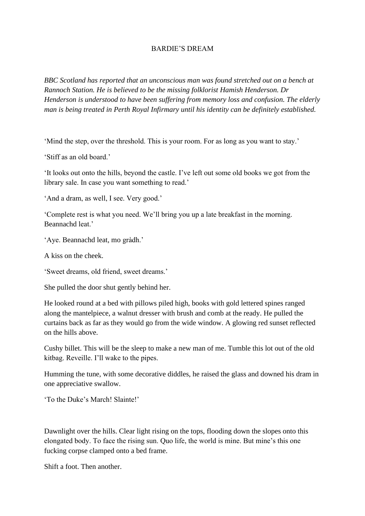## BARDIE'S DREAM

*BBC Scotland has reported that an unconscious man was found stretched out on a bench at Rannoch Station. He is believed to be the missing folklorist Hamish Henderson. Dr Henderson is understood to have been suffering from memory loss and confusion. The elderly man is being treated in Perth Royal Infirmary until his identity can be definitely established.* 

'Mind the step, over the threshold. This is your room. For as long as you want to stay.'

'Stiff as an old board.'

'It looks out onto the hills, beyond the castle. I've left out some old books we got from the library sale. In case you want something to read.'

'And a dram, as well, I see. Very good.'

'Complete rest is what you need. We'll bring you up a late breakfast in the morning. Beannachd leat.'

'Aye. Beannachd leat, mo gràdh.'

A kiss on the cheek.

'Sweet dreams, old friend, sweet dreams.'

She pulled the door shut gently behind her.

He looked round at a bed with pillows piled high, books with gold lettered spines ranged along the mantelpiece, a walnut dresser with brush and comb at the ready. He pulled the curtains back as far as they would go from the wide window. A glowing red sunset reflected on the hills above.

Cushy billet. This will be the sleep to make a new man of me. Tumble this lot out of the old kitbag. Reveille. I'll wake to the pipes.

Humming the tune, with some decorative diddles, he raised the glass and downed his dram in one appreciative swallow.

'To the Duke's March! Slainte!'

Dawnlight over the hills. Clear light rising on the tops, flooding down the slopes onto this elongated body. To face the rising sun. Quo life, the world is mine. But mine's this one fucking corpse clamped onto a bed frame.

Shift a foot. Then another.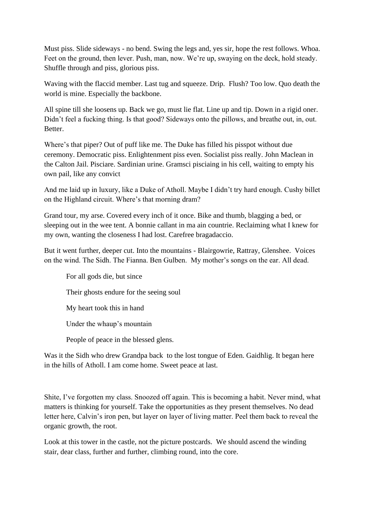Must piss. Slide sideways - no bend. Swing the legs and, yes sir, hope the rest follows. Whoa. Feet on the ground, then lever. Push, man, now. We're up, swaying on the deck, hold steady. Shuffle through and piss, glorious piss.

Waving with the flaccid member. Last tug and squeeze. Drip. Flush? Too low. Quo death the world is mine. Especially the backbone.

All spine till she loosens up. Back we go, must lie flat. Line up and tip. Down in a rigid oner. Didn't feel a fucking thing. Is that good? Sideways onto the pillows, and breathe out, in, out. Better.

Where's that piper? Out of puff like me. The Duke has filled his pisspot without due ceremony. Democratic piss. Enlightenment piss even. Socialist piss really. John Maclean in the Calton Jail. Pisciare. Sardinian urine. Gramsci pisciaing in his cell, waiting to empty his own pail, like any convict

And me laid up in luxury, like a Duke of Atholl. Maybe I didn't try hard enough. Cushy billet on the Highland circuit. Where's that morning dram?

Grand tour, my arse. Covered every inch of it once. Bike and thumb, blagging a bed, or sleeping out in the wee tent. A bonnie callant in ma ain countrie. Reclaiming what I knew for my own, wanting the closeness I had lost. Carefree bragadaccio.

But it went further, deeper cut. Into the mountains - Blairgowrie, Rattray, Glenshee. Voices on the wind. The Sidh. The Fianna. Ben Gulben. My mother's songs on the ear. All dead.

For all gods die, but since

Their ghosts endure for the seeing soul

My heart took this in hand

Under the whaup's mountain

People of peace in the blessed glens.

Was it the Sidh who drew Grandpa back to the lost tongue of Eden. Gaidhlig. It began here in the hills of Atholl. I am come home. Sweet peace at last.

Shite, I've forgotten my class. Snoozed off again. This is becoming a habit. Never mind, what matters is thinking for yourself. Take the opportunities as they present themselves. No dead letter here, Calvin's iron pen, but layer on layer of living matter. Peel them back to reveal the organic growth, the root.

Look at this tower in the castle, not the picture postcards. We should ascend the winding stair, dear class, further and further, climbing round, into the core.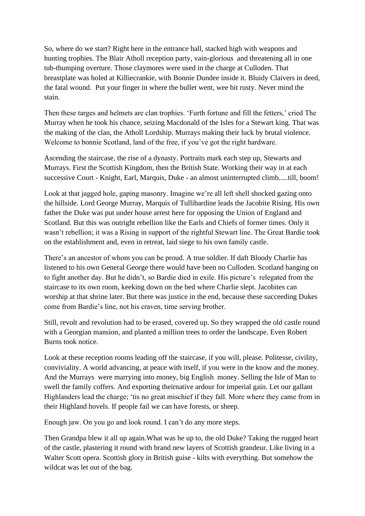So, where do we start? Right here in the entrance hall, stacked high with weapons and hunting trophies. The Blair Atholl reception party, vain-glorious and threatening all in one tub-thumping overture. Those claymores were used in the charge at Culloden. That breastplate was holed at Killiecrankie, with Bonnie Dundee inside it. Bluidy Claivers in deed, the fatal wound. Put your finger in where the bullet went, wee bit rusty. Never mind the stain.

Then these targes and helmets are clan trophies. 'Furth fortune and fill the fetters,' cried The Murray when he took his chance, seizing Macdonald of the Isles for a Stewart king. That was the making of the clan, the Atholl Lordship. Murrays making their luck by brutal violence. Welcome to bonnie Scotland, land of the free, if you've got the right hardware.

Ascending the staircase, the rise of a dynasty. Portraits mark each step up, Stewarts and Murrays. First the Scottish Kingdom, then the British State. Working their way in at each successive Court - Knight, Earl, Marquis, Duke - an almost uninterrupted climb.....till, boom!

Look at that jagged hole, gaping masonry. Imagine we're all left shell shocked gazing onto the hillside. Lord George Murray, Marquis of Tullibardine leads the Jacobite Rising. His own father the Duke was put under house arrest here for opposing the Union of England and Scotland. But this was outright rebellion like the Earls and Chiefs of former times. Only it wasn't rebellion; it was a Rising in support of the rightful Stewart line. The Great Bardie took on the establishment and, even in retreat, laid siege to his own family castle.

There's an ancestor of whom you can be proud. A true soldier. If daft Bloody Charlie has listened to his own General George there would have been no Culloden. Scotland hanging on to fight another day. But he didn't, so Bardie died in exile. His picture's relegated from the staircase to its own room, keeking down on the bed where Charlie slept. Jacobites can worship at that shrine later. But there was justice in the end, because these succeeding Dukes come from Bardie's line, not his craven, time serving brother.

Still, revolt and revolution had to be erased, covered up. So they wrapped the old castle round with a Georgian mansion, and planted a million trees to order the landscape. Even Robert Burns took notice.

Look at these reception rooms leading off the staircase, if you will, please. Politesse, civility, conviviality. A world advancing, at peace with itself, if you were in the know and the money. And the Murrays were marrying into money, big English money. Selling the Isle of Man to swell the family coffers. And exporting theirnative ardour for imperial gain. Let our gallant Highlanders lead the charge; 'tis no great mischief if they fall. More where they came from in their Highland hovels. If people fail we can have forests, or sheep.

Enough jaw. On you go and look round. I can't do any more steps.

Then Grandpa blew it all up again.What was he up to, the old Duke? Taking the rugged heart of the castle, plastering it round with brand new layers of Scottish grandeur. Like living in a Walter Scott opera. Scottish glory in British guise - kilts with everything. But somehow the wildcat was let out of the bag.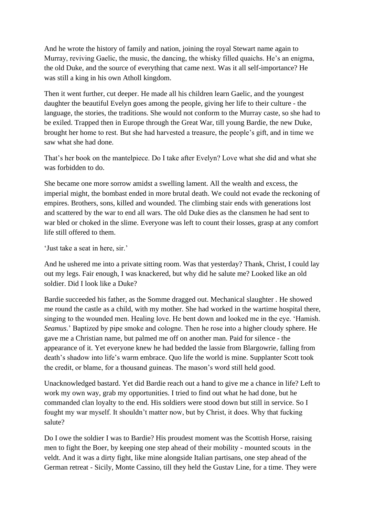And he wrote the history of family and nation, joining the royal Stewart name again to Murray, reviving Gaelic, the music, the dancing, the whisky filled quaichs. He's an enigma, the old Duke, and the source of everything that came next. Was it all self-importance? He was still a king in his own Atholl kingdom.

Then it went further, cut deeper. He made all his children learn Gaelic, and the youngest daughter the beautiful Evelyn goes among the people, giving her life to their culture - the language, the stories, the traditions. She would not conform to the Murray caste, so she had to be exiled. Trapped then in Europe through the Great War, till young Bardie, the new Duke, brought her home to rest. But she had harvested a treasure, the people's gift, and in time we saw what she had done.

That's her book on the mantelpiece. Do I take after Evelyn? Love what she did and what she was forbidden to do.

She became one more sorrow amidst a swelling lament. All the wealth and excess, the imperial might, the bombast ended in more brutal death. We could not evade the reckoning of empires. Brothers, sons, killed and wounded. The climbing stair ends with generations lost and scattered by the war to end all wars. The old Duke dies as the clansmen he had sent to war bled or choked in the slime. Everyone was left to count their losses, grasp at any comfort life still offered to them.

'Just take a seat in here, sir.'

And he ushered me into a private sitting room. Was that yesterday? Thank, Christ, I could lay out my legs. Fair enough, I was knackered, but why did he salute me? Looked like an old soldier. Did I look like a Duke?

Bardie succeeded his father, as the Somme dragged out. Mechanical slaughter . He showed me round the castle as a child, with my mother. She had worked in the wartime hospital there, singing to the wounded men. Healing love. He bent down and looked me in the eye. 'Hamish. *Seamus.*' Baptized by pipe smoke and cologne. Then he rose into a higher cloudy sphere. He gave me a Christian name, but palmed me off on another man. Paid for silence - the appearance of it. Yet everyone knew he had bedded the lassie from Blargowrie, falling from death's shadow into life's warm embrace. Quo life the world is mine. Supplanter Scott took the credit, or blame, for a thousand guineas. The mason's word still held good.

Unacknowledged bastard. Yet did Bardie reach out a hand to give me a chance in life? Left to work my own way, grab my opportunities. I tried to find out what he had done, but he commanded clan loyalty to the end. His soldiers were stood down but still in service. So I fought my war myself. It shouldn't matter now, but by Christ, it does. Why that fucking salute?

Do I owe the soldier I was to Bardie? His proudest moment was the Scottish Horse, raising men to fight the Boer, by keeping one step ahead of their mobility - mounted scouts in the veldt. And it was a dirty fight, like mine alongside Italian partisans, one step ahead of the German retreat - Sicily, Monte Cassino, till they held the Gustav Line, for a time. They were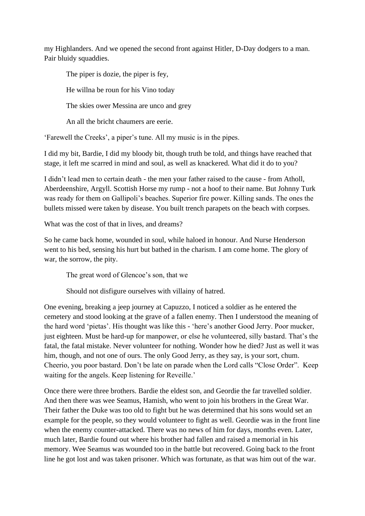my Highlanders. And we opened the second front against Hitler, D-Day dodgers to a man. Pair bluidy squaddies.

The piper is dozie, the piper is fey,

He willna be roun for his Vino today

The skies ower Messina are unco and grey

An all the bricht chaumers are eerie.

'Farewell the Creeks', a piper's tune. All my music is in the pipes.

I did my bit, Bardie, I did my bloody bit, though truth be told, and things have reached that stage, it left me scarred in mind and soul, as well as knackered. What did it do to you?

I didn't lead men to certain death - the men your father raised to the cause - from Atholl, Aberdeenshire, Argyll. Scottish Horse my rump - not a hoof to their name. But Johnny Turk was ready for them on Gallipoli's beaches. Superior fire power. Killing sands. The ones the bullets missed were taken by disease. You built trench parapets on the beach with corpses.

What was the cost of that in lives, and dreams?

So he came back home, wounded in soul, while haloed in honour. And Nurse Henderson went to his bed, sensing his hurt but bathed in the charism. I am come home. The glory of war, the sorrow, the pity.

The great word of Glencoe's son, that we

Should not disfigure ourselves with villainy of hatred.

One evening, breaking a jeep journey at Capuzzo, I noticed a soldier as he entered the cemetery and stood looking at the grave of a fallen enemy. Then I understood the meaning of the hard word 'pietas'. His thought was like this - 'here's another Good Jerry. Poor mucker, just eighteen. Must be hard-up for manpower, or else he volunteered, silly bastard. That's the fatal, the fatal mistake. Never volunteer for nothing. Wonder how he died? Just as well it was him, though, and not one of ours. The only Good Jerry, as they say, is your sort, chum. Cheerio, you poor bastard. Don't be late on parade when the Lord calls "Close Order". Keep waiting for the angels. Keep listening for Reveille.'

Once there were three brothers. Bardie the eldest son, and Geordie the far travelled soldier. And then there was wee Seamus, Hamish, who went to join his brothers in the Great War. Their father the Duke was too old to fight but he was determined that his sons would set an example for the people, so they would volunteer to fight as well. Geordie was in the front line when the enemy counter-attacked. There was no news of him for days, months even. Later, much later, Bardie found out where his brother had fallen and raised a memorial in his memory. Wee Seamus was wounded too in the battle but recovered. Going back to the front line he got lost and was taken prisoner. Which was fortunate, as that was him out of the war.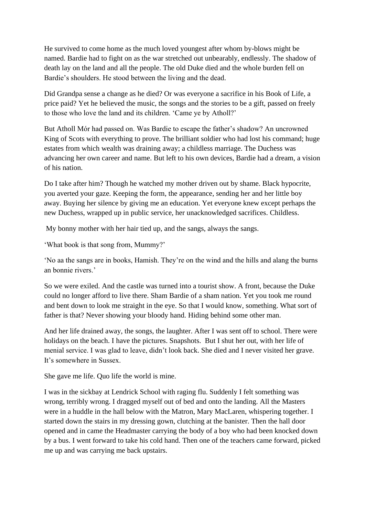He survived to come home as the much loved youngest after whom by-blows might be named. Bardie had to fight on as the war stretched out unbearably, endlessly. The shadow of death lay on the land and all the people. The old Duke died and the whole burden fell on Bardie's shoulders. He stood between the living and the dead.

Did Grandpa sense a change as he died? Or was everyone a sacrifice in his Book of Life, a price paid? Yet he believed the music, the songs and the stories to be a gift, passed on freely to those who love the land and its children. 'Came ye by Atholl?'

But Atholl Mór had passed on. Was Bardie to escape the father's shadow? An uncrowned King of Scots with everything to prove. The brilliant soldier who had lost his command; huge estates from which wealth was draining away; a childless marriage. The Duchess was advancing her own career and name. But left to his own devices, Bardie had a dream, a vision of his nation.

Do I take after him? Though he watched my mother driven out by shame. Black hypocrite, you averted your gaze. Keeping the form, the appearance, sending her and her little boy away. Buying her silence by giving me an education. Yet everyone knew except perhaps the new Duchess, wrapped up in public service, her unacknowledged sacrifices. Childless.

My bonny mother with her hair tied up, and the sangs, always the sangs.

'What book is that song from, Mummy?'

'No aa the sangs are in books, Hamish. They're on the wind and the hills and alang the burns an bonnie rivers.'

So we were exiled. And the castle was turned into a tourist show. A front, because the Duke could no longer afford to live there. Sham Bardie of a sham nation. Yet you took me round and bent down to look me straight in the eye. So that I would know, something. What sort of father is that? Never showing your bloody hand. Hiding behind some other man.

And her life drained away, the songs, the laughter. After I was sent off to school. There were holidays on the beach. I have the pictures. Snapshots. But I shut her out, with her life of menial service. I was glad to leave, didn't look back. She died and I never visited her grave. It's somewhere in Sussex.

She gave me life. Quo life the world is mine.

I was in the sickbay at Lendrick School with raging flu. Suddenly I felt something was wrong, terribly wrong. I dragged myself out of bed and onto the landing. All the Masters were in a huddle in the hall below with the Matron, Mary MacLaren, whispering together. I started down the stairs in my dressing gown, clutching at the banister. Then the hall door opened and in came the Headmaster carrying the body of a boy who had been knocked down by a bus. I went forward to take his cold hand. Then one of the teachers came forward, picked me up and was carrying me back upstairs.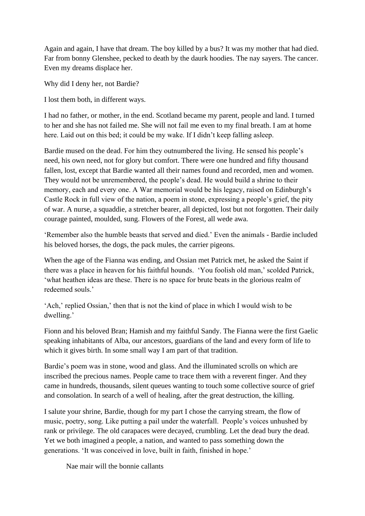Again and again, I have that dream. The boy killed by a bus? It was my mother that had died. Far from bonny Glenshee, pecked to death by the daurk hoodies. The nay sayers. The cancer. Even my dreams displace her.

Why did I deny her, not Bardie?

I lost them both, in different ways.

I had no father, or mother, in the end. Scotland became my parent, people and land. I turned to her and she has not failed me. She will not fail me even to my final breath. I am at home here. Laid out on this bed; it could be my wake. If I didn't keep falling asleep.

Bardie mused on the dead. For him they outnumbered the living. He sensed his people's need, his own need, not for glory but comfort. There were one hundred and fifty thousand fallen, lost, except that Bardie wanted all their names found and recorded, men and women. They would not be unremembered, the people's dead. He would build a shrine to their memory, each and every one. A War memorial would be his legacy, raised on Edinburgh's Castle Rock in full view of the nation, a poem in stone, expressing a people's grief, the pity of war. A nurse, a squaddie, a stretcher bearer, all depicted, lost but not forgotten. Their daily courage painted, moulded, sung. Flowers of the Forest, all wede awa.

'Remember also the humble beasts that served and died.' Even the animals - Bardie included his beloved horses, the dogs, the pack mules, the carrier pigeons.

When the age of the Fianna was ending, and Ossian met Patrick met, he asked the Saint if there was a place in heaven for his faithful hounds. 'You foolish old man,' scolded Patrick, 'what heathen ideas are these. There is no space for brute beats in the glorious realm of redeemed souls.'

'Ach,' replied Ossian,' then that is not the kind of place in which I would wish to be dwelling.'

Fionn and his beloved Bran; Hamish and my faithful Sandy. The Fianna were the first Gaelic speaking inhabitants of Alba, our ancestors, guardians of the land and every form of life to which it gives birth. In some small way I am part of that tradition.

Bardie's poem was in stone, wood and glass. And the illuminated scrolls on which are inscribed the precious names. People came to trace them with a reverent finger. And they came in hundreds, thousands, silent queues wanting to touch some collective source of grief and consolation. In search of a well of healing, after the great destruction, the killing.

I salute your shrine, Bardie, though for my part I chose the carrying stream, the flow of music, poetry, song. Like putting a pail under the waterfall. People's voices unhushed by rank or privilege. The old carapaces were decayed, crumbling. Let the dead bury the dead. Yet we both imagined a people, a nation, and wanted to pass something down the generations. 'It was conceived in love, built in faith, finished in hope.'

Nae mair will the bonnie callants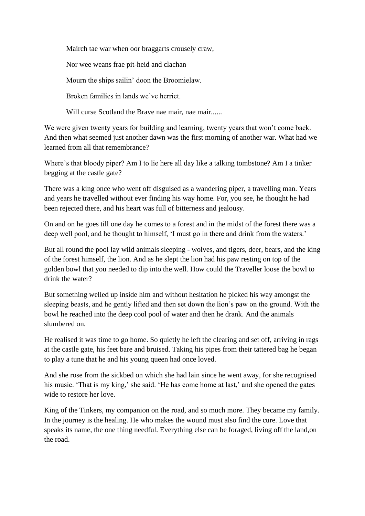Mairch tae war when oor braggarts crousely craw,

Nor wee weans frae pit-heid and clachan

Mourn the ships sailin' doon the Broomielaw.

Broken families in lands we've herriet.

Will curse Scotland the Brave nae mair, nae mair......

We were given twenty years for building and learning, twenty years that won't come back. And then what seemed just another dawn was the first morning of another war. What had we learned from all that remembrance?

Where's that bloody piper? Am I to lie here all day like a talking tombstone? Am I a tinker begging at the castle gate?

There was a king once who went off disguised as a wandering piper, a travelling man. Years and years he travelled without ever finding his way home. For, you see, he thought he had been rejected there, and his heart was full of bitterness and jealousy.

On and on he goes till one day he comes to a forest and in the midst of the forest there was a deep well pool, and he thought to himself, 'I must go in there and drink from the waters.'

But all round the pool lay wild animals sleeping - wolves, and tigers, deer, bears, and the king of the forest himself, the lion. And as he slept the lion had his paw resting on top of the golden bowl that you needed to dip into the well. How could the Traveller loose the bowl to drink the water?

But something welled up inside him and without hesitation he picked his way amongst the sleeping beasts, and he gently lifted and then set down the lion's paw on the ground. With the bowl he reached into the deep cool pool of water and then he drank. And the animals slumbered on.

He realised it was time to go home. So quietly he left the clearing and set off, arriving in rags at the castle gate, his feet bare and bruised. Taking his pipes from their tattered bag he began to play a tune that he and his young queen had once loved.

And she rose from the sickbed on which she had lain since he went away, for she recognised his music. 'That is my king,' she said. 'He has come home at last,' and she opened the gates wide to restore her love.

King of the Tinkers, my companion on the road, and so much more. They became my family. In the journey is the healing. He who makes the wound must also find the cure. Love that speaks its name, the one thing needful. Everything else can be foraged, living off the land,on the road.